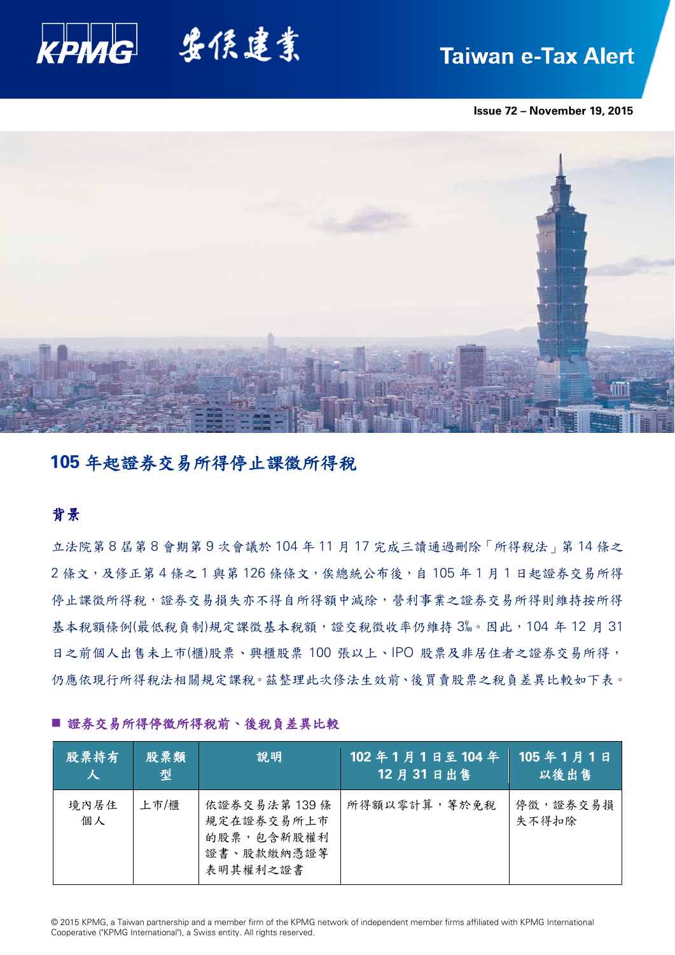

# **Taiwan e-Tax Alert**

**Issue 72 – November 19, 2015**



# **105** 年起證券交易所得停止課徵所得稅

# 背景

立法院第 8 屆第 8 會期第 9 次會議於 104 年 11 月 17 完成三讀通過刪除「所得稅法」第 14 條之 2 條文,及修正第 4 條之 1 與第 126 條條文,俟總統公布後,自 105 年 1 月 1 日起證券交易所得 停止課徵所得稅,證券交易損失亦不得自所得額中減除,營利事業之證券交易所得則維持按所得 基本稅額條例(最低稅負制)規定課徵基本稅額,證交稅徵收率仍維持 3‰。因此, 104 年 12 月 31 日之前個人出售未上市(櫃)股票、興櫃股票 100 張以上、IPO 股票及非居住者之證券交易所得, 仍應依現行所得稅法相關規定課稅。茲整理此次修法生效前、後買賣股票之稅負差異比較如下表。

| 股票持有       | 股票類  | 說明                                                                | 102年1月1日至104年        | 105年1月1日          |
|------------|------|-------------------------------------------------------------------|----------------------|-------------------|
| 人          | 型    |                                                                   | 12月31日出售             | 以後出售              |
| 境內居住<br>個人 | 上市/櫃 | 依證券交易法第139條<br>規定在證券交易所上市<br>的股票,包含新股權利<br>證書、股款繳納憑證等<br>表明其權利之證書 | <b>所得額以零計算, 等於免稅</b> | 停徵,證券交易損<br>失不得扣除 |

## ■證券交易所得停徵所得稅前、後稅負差異比較

© 2015 KPMG, a Taiwan partnership and a member firm of the KPMG network of independent member firms affiliated with KPMG International Cooperative ("KPMG International"), a Swiss entity. All rights reserved.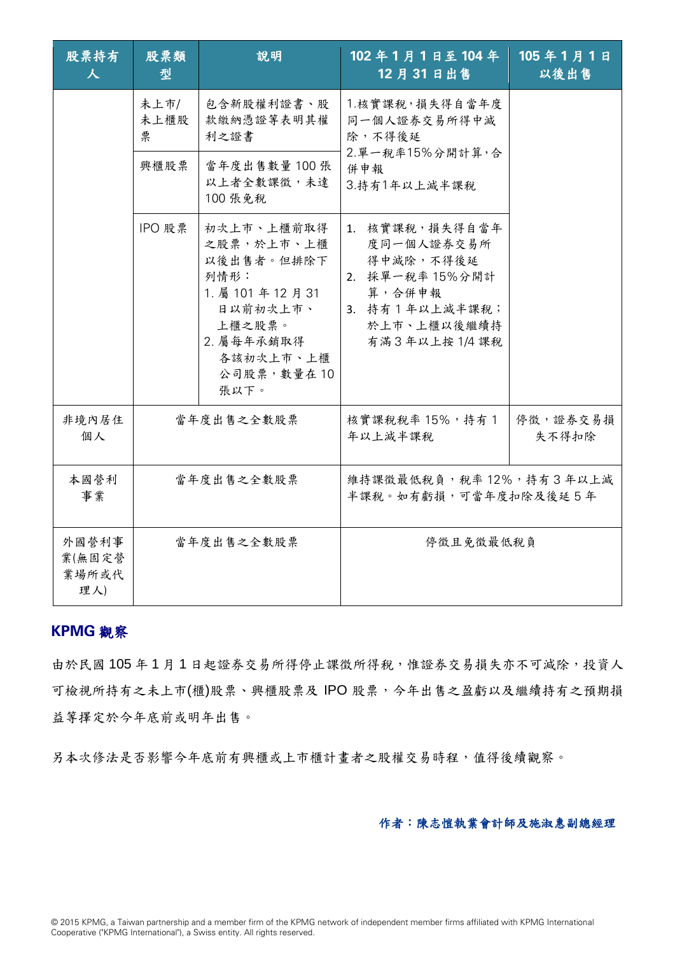| 股票持有<br>人                       | 股票類<br>型          | 說明                                                                                                                                          | 102年1月1日至104年<br>12月31日出售                                                                                               | 105年1月1日<br>以後出售  |
|---------------------------------|-------------------|---------------------------------------------------------------------------------------------------------------------------------------------|-------------------------------------------------------------------------------------------------------------------------|-------------------|
|                                 | 未上市/<br>未上櫃股<br>票 | 包含新股權利證書、股<br>款繳納憑證等表明其權<br>利之證書                                                                                                            | 1.核實課稅,損失得自當年度<br>同一個人證券交易所得中減<br>除,不得後延<br>2. 單一稅率15%分開計算, 合<br>併申報<br>3. 持有1年以上减半課稅                                   |                   |
|                                 | 興櫃股票              | 當年度出售數量 100張<br>以上者全數課徵,未達<br>100 張免稅                                                                                                       |                                                                                                                         |                   |
|                                 | IPO 股票            | 初次上市、上櫃前取得<br>之股票,於上市、上櫃<br>以後出售者。但排除下<br>列情形:<br>1. 屬 101 年 12 月 31<br>日以前初次上市、<br>上櫃之股票。<br>2. 屬每年承銷取得<br>各該初次上市、上櫃<br>公司股票,數量在10<br>張以下。 | 1. 核實課稅,損失得自當年<br>度同一個人證券交易所<br>得中減除,不得後延<br>2. 採單一稅率 15%分開計<br>算,合併申報<br>3. 持有1年以上減半課稅;<br>於上市、上櫃以後繼續持<br>有滿3年以上按1/4課稅 |                   |
| 非境內居住<br>個人                     | 當年度出售之全數股票        |                                                                                                                                             | 核實課稅稅率 15%,持有1<br>年以上減半課稅                                                                                               | 停徵,證券交易損<br>失不得扣除 |
| 本國營利<br>事業                      | 當年度出售之全數股票        |                                                                                                                                             | 維持課徵最低稅負,稅率12%,持有3年以上減<br>半課稅。如有虧損,可當年度扣除及後延5年                                                                          |                   |
| 外國營利事<br>業(無固定營<br>業場所或代<br>理人) | 當年度出售之全數股票        |                                                                                                                                             | 停徵且免徵最低稅負                                                                                                               |                   |

# **KPMG** 觀察

由於民國105年1月1日起證券交易所得停止課徵所得稅,惟證券交易損失亦不可減除,投資人 可檢視所持有之未上市(櫃)股票、興櫃股票及 IPO 股票,今年出售之盈虧以及繼續持有之預期損 益等擇定於今年底前或明年出售。

另本次修法是否影響今年底前有興櫃或上市櫃計畫者之股權交易時程,值得後續觀察。

作者:陳志愷執業會計師及施淑惠副總經理